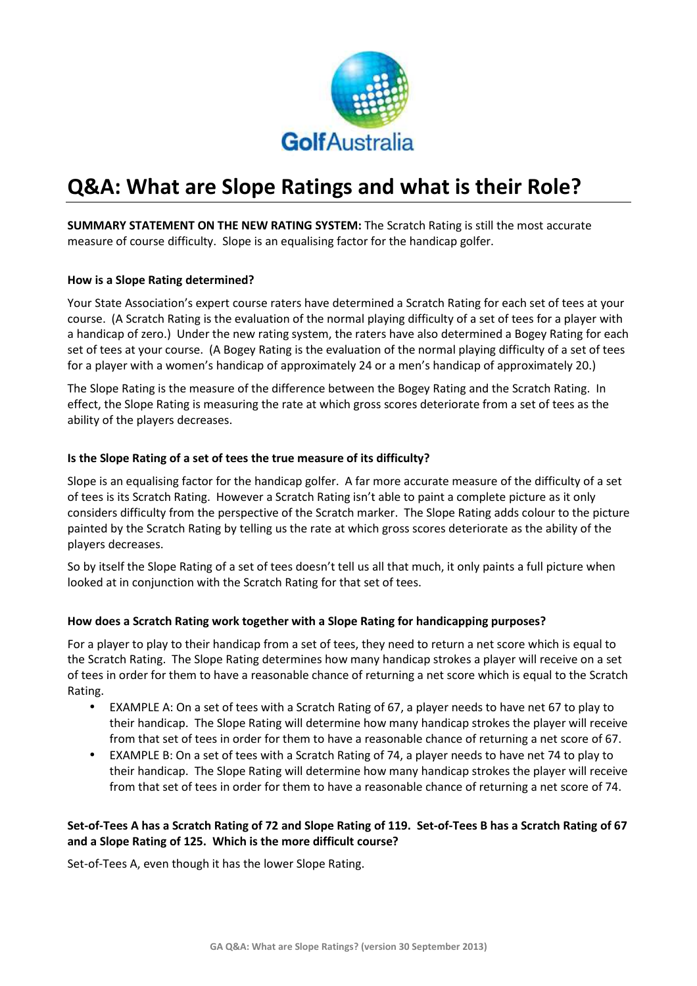

# **Q&A: What are Slope Ratings and what is their Role?**

**SUMMARY STATEMENT ON THE NEW RATING SYSTEM:** The Scratch Rating is still the most accurate measure of course difficulty. Slope is an equalising factor for the handicap golfer.

### **How is a Slope Rating determined?**

Your State Association's expert course raters have determined a Scratch Rating for each set of tees at your course. (A Scratch Rating is the evaluation of the normal playing difficulty of a set of tees for a player with a handicap of zero.) Under the new rating system, the raters have also determined a Bogey Rating for each set of tees at your course. (A Bogey Rating is the evaluation of the normal playing difficulty of a set of tees for a player with a women's handicap of approximately 24 or a men's handicap of approximately 20.)

The Slope Rating is the measure of the difference between the Bogey Rating and the Scratch Rating. In effect, the Slope Rating is measuring the rate at which gross scores deteriorate from a set of tees as the ability of the players decreases.

### **Is the Slope Rating of a set of tees the true measure of its difficulty?**

Slope is an equalising factor for the handicap golfer. A far more accurate measure of the difficulty of a set of tees is its Scratch Rating. However a Scratch Rating isn't able to paint a complete picture as it only considers difficulty from the perspective of the Scratch marker. The Slope Rating adds colour to the picture painted by the Scratch Rating by telling us the rate at which gross scores deteriorate as the ability of the players decreases.

So by itself the Slope Rating of a set of tees doesn't tell us all that much, it only paints a full picture when looked at in conjunction with the Scratch Rating for that set of tees.

#### **How does a Scratch Rating work together with a Slope Rating for handicapping purposes?**

For a player to play to their handicap from a set of tees, they need to return a net score which is equal to the Scratch Rating. The Slope Rating determines how many handicap strokes a player will receive on a set of tees in order for them to have a reasonable chance of returning a net score which is equal to the Scratch Rating.

- EXAMPLE A: On a set of tees with a Scratch Rating of 67, a player needs to have net 67 to play to their handicap. The Slope Rating will determine how many handicap strokes the player will receive from that set of tees in order for them to have a reasonable chance of returning a net score of 67.
- EXAMPLE B: On a set of tees with a Scratch Rating of 74, a player needs to have net 74 to play to their handicap. The Slope Rating will determine how many handicap strokes the player will receive from that set of tees in order for them to have a reasonable chance of returning a net score of 74.

## **Set-of-Tees A has a Scratch Rating of 72 and Slope Rating of 119. Set-of-Tees B has a Scratch Rating of 67 and a Slope Rating of 125. Which is the more difficult course?**

Set-of-Tees A, even though it has the lower Slope Rating.